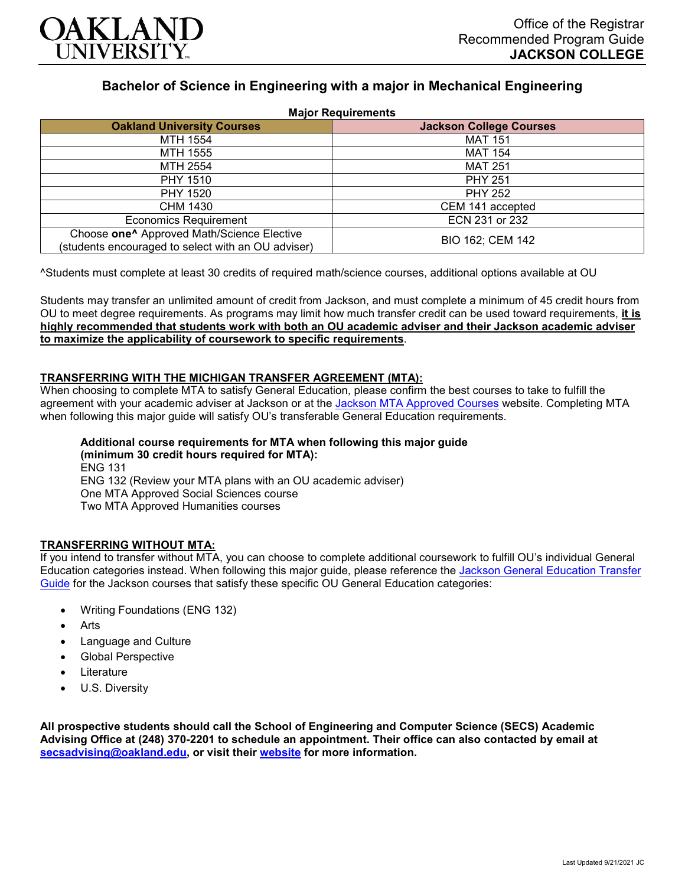

# **Bachelor of Science in Engineering with a major in Mechanical Engineering**

|  |  |  |  | <b>Major Requirements</b> |
|--|--|--|--|---------------------------|
|--|--|--|--|---------------------------|

| 1.141                                                                                                        |                                |  |  |  |
|--------------------------------------------------------------------------------------------------------------|--------------------------------|--|--|--|
| <b>Oakland University Courses</b>                                                                            | <b>Jackson College Courses</b> |  |  |  |
| MTH 1554                                                                                                     | <b>MAT 151</b>                 |  |  |  |
| MTH 1555                                                                                                     | <b>MAT 154</b>                 |  |  |  |
| MTH 2554                                                                                                     | <b>MAT 251</b>                 |  |  |  |
| <b>PHY 1510</b>                                                                                              | <b>PHY 251</b>                 |  |  |  |
| <b>PHY 1520</b>                                                                                              | <b>PHY 252</b>                 |  |  |  |
| CHM 1430                                                                                                     | CEM 141 accepted               |  |  |  |
| <b>Economics Requirement</b>                                                                                 | ECN 231 or 232                 |  |  |  |
| Choose one <sup>^</sup> Approved Math/Science Elective<br>(students encouraged to select with an OU adviser) | BIO 162; CEM 142               |  |  |  |

^Students must complete at least 30 credits of required math/science courses, additional options available at OU

Students may transfer an unlimited amount of credit from Jackson, and must complete a minimum of 45 credit hours from OU to meet degree requirements. As programs may limit how much transfer credit can be used toward requirements, **it is highly recommended that students work with both an OU academic adviser and their Jackson academic adviser to maximize the applicability of coursework to specific requirements**.

## **TRANSFERRING WITH THE MICHIGAN TRANSFER AGREEMENT (MTA):**

When choosing to complete MTA to satisfy General Education, please confirm the best courses to take to fulfill the agreement with your academic adviser at Jackson or at the Jackson [MTA Approved Courses](https://www.jccmi.edu/transfer/michigan-transfer-agreement/) website. Completing MTA when following this major guide will satisfy OU's transferable General Education requirements.

**Additional course requirements for MTA when following this major guide (minimum 30 credit hours required for MTA):** ENG 131 ENG 132 (Review your MTA plans with an OU academic adviser)

One MTA Approved Social Sciences course

Two MTA Approved Humanities courses

#### **TRANSFERRING WITHOUT MTA:**

If you intend to transfer without MTA, you can choose to complete additional coursework to fulfill OU's individual General Education categories instead. When following this major guide, please reference the Jackson General Education Transfer [Guide](https://www.oakland.edu/Assets/Oakland/program-guides/jackson-college/university-general-education-requirements/Jackson%20Gen%20Ed.pdf) for the Jackson courses that satisfy these specific OU General Education categories:

- Writing Foundations (ENG 132)
- **Arts**
- Language and Culture
- Global Perspective
- **Literature**
- U.S. Diversity

**All prospective students should call the School of Engineering and Computer Science (SECS) Academic Advising Office at (248) 370-2201 to schedule an appointment. Their office can also contacted by email at [secsadvising@oakland.edu,](mailto:secsadvising@oakland.edu) or visit their [website](https://wwwp.oakland.edu/secs/advising/) for more information.**